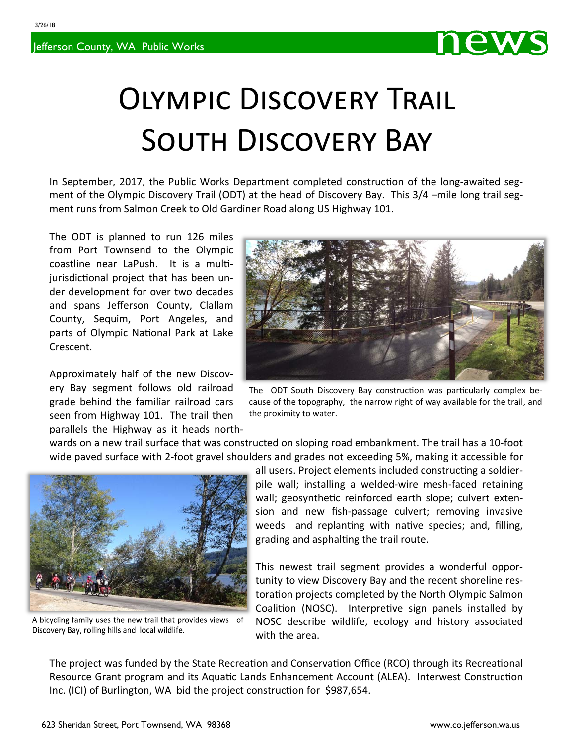3/26/18





## OLYMPIC DISCOVERY TRAIL SOUTH DISCOVERY BAY

In September, 2017, the Public Works Department completed construction of the long-awaited segment of the Olympic Discovery Trail (ODT) at the head of Discovery Bay. This 3/4 –mile long trail segment runs from Salmon Creek to Old Gardiner Road along US Highway 101.

The ODT is planned to run 126 miles from Port Townsend to the Olympic coastline near LaPush. It is a multijurisdictional project that has been under development for over two decades and spans Jefferson County, Clallam County, Sequim, Port Angeles, and parts of Olympic National Park at Lake Crescent.

Approximately half of the new Discov‐ ery Bay segment follows old railroad grade behind the familiar railroad cars seen from Highway 101. The trail then parallels the Highway as it heads north‐



360.385.9160

The ODT South Discovery Bay construction was particularly complex because of the topography, the narrow right of way available for the trail, and the proximity to water.

wards on a new trail surface that was constructed on sloping road embankment. The trail has a 10‐foot wide paved surface with 2‐foot gravel shoulders and grades not exceeding 5%, making it accessible for



A bicycling family uses the new trail that provides views of Discovery Bay, rolling hills and local wildlife.

all users. Project elements included constructing a soldierpile wall; installing a welded‐wire mesh‐faced retaining wall; geosynthetic reinforced earth slope; culvert extension and new fish-passage culvert; removing invasive weeds and replanting with native species; and, filling, grading and asphalting the trail route.

This newest trail segment provides a wonderful oppor‐ tunity to view Discovery Bay and the recent shoreline res‐ toration projects completed by the North Olympic Salmon Coalition (NOSC). Interpretive sign panels installed by NOSC describe wildlife, ecology and history associated with the area.

The project was funded by the State Recreation and Conservation Office (RCO) through its Recreational Resource Grant program and its Aquatic Lands Enhancement Account (ALEA). Interwest Construction Inc. (ICI) of Burlington, WA bid the project construction for \$987,654.